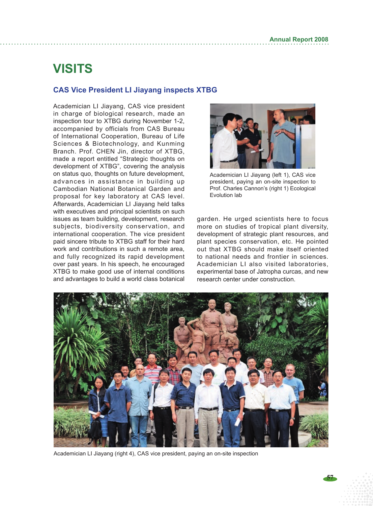## **VISITS**

## **CAS Vice President LI Jiayang inspects XTBG**

Academician LI Jiayang, CAS vice president in charge of biological research, made an inspection tour to XTBG during November 1-2, accompanied by officials from CAS Bureau of International Cooperation, Bureau of Life Sciences & Biotechnology, and Kunming Branch. Prof. CHEN Jin, director of XTBG, made a report entitled "Strategic thoughts on development of XTBG", covering the analysis on status quo, thoughts on future development, advances in assistance in building up Cambodian National Botanical Garden and proposal for key laboratory at CAS level. Afterwards, Academician LI Jiayang held talks with executives and principal scientists on such issues as team building, development, research subjects, biodiversity conservation, and international cooperation. The vice president paid sincere tribute to XTBG staff for their hard work and contributions in such a remote area, and fully recognized its rapid development over past years. In his speech, he encouraged XTBG to make good use of internal conditions and advantages to build a world class botanical



Academician LI Jiayang (left 1), CAS vice president, paying an on-site inspection to Prof. Charles Cannon's (right 1) Ecological Evolution lab

garden. He urged scientists here to focus more on studies of tropical plant diversity, development of strategic plant resources, and plant species conservation, etc. He pointed out that XTBG should make itself oriented to national needs and frontier in sciences. Academician LI also visited laboratories, experimental base of Jatropha curcas, and new research center under construction.



Academician LI Jiayang (right 4), CAS vice president, paying an on-site inspection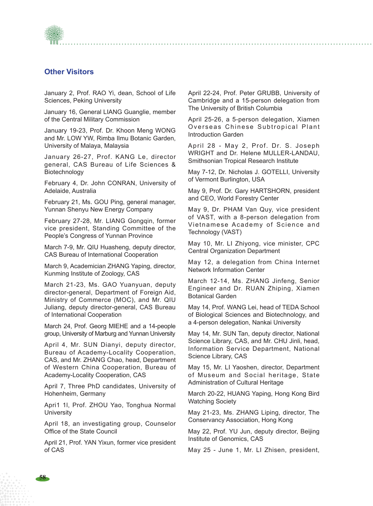

## **Other Visitors**

January 2, Prof. RAO Yi, dean, School of Life Sciences, Peking University

January 16, General LIANG Guanglie, member of the Central Military Commission

January 19-23, Prof. Dr. Khoon Meng WONG and Mr. LOW YW, Rimba Ilmu Botanic Garden, University of Malaya, Malaysia

January 26-27, Prof. KANG Le, director general, CAS Bureau of Life Sciences & Biotechnology

February 4, Dr. John CONRAN, University of Adelaide, Australia

February 21, Ms. GOU Ping, general manager, Yunnan Shenyu New Energy Company

February 27-28, Mr. LIANG Gongqin, former vice president, Standing Committee of the People's Congress of Yunnan Province

March 7-9, Mr. QIU Huasheng, deputy director, CAS Bureau of International Cooperation

March 9, Academician ZHANG Yaping, director, Kunming Institute of Zoology, CAS

March 21-23, Ms. GAO Yuanyuan, deputy director-general, Department of Foreign Aid, Ministry of Commerce (MOC), and Mr. QIU Juliang, deputy director-general, CAS Bureau of International Cooperation

March 24, Prof. Georg MIEHE and a 14-people group, University of Marburg and Yunnan University

April 4, Mr. SUN Dianyi, deputy director, Bureau of Academy-Locality Cooperation, CAS, and Mr. ZHANG Chao, head, Department of Western China Cooperation, Bureau of Academy-Locality Cooperation, CAS

April 7, Three PhD candidates, University of Hohenheim, Germany

Apri1 1l, Prof. ZHOU Yao, Tonghua Normal **University** 

April 18, an investigating group, Counselor Office of the State Council

April 21, Prof. YAN Yixun, former vice president of CAS

April 22-24, Prof. Peter GRUBB, University of Cambridge and a 15-person delegation from The University of British Columbia

April 25-26, a 5-person delegation, Xiamen Overseas Chinese Subtropical Plant Introduction Garden

April 28 - May 2, Prof. Dr. S. Joseph WRIGHT and Dr. Helene MULLER-LANDAU, Smithsonian Tropical Research Institute

May 7-12, Dr. Nicholas J. GOTELLI, University of Vermont Burlington, USA

May 9, Prof. Dr. Gary HARTSHORN, president and CEO, World Forestry Center

May 9, Dr. PHAM Van Quy, vice president of VAST, with a 8-person delegation from Vietnamese Academy of Science and Technology (VAST)

May 10, Mr. LI Zhiyong, vice minister, CPC Central Organization Department

May 12, a delegation from China Internet Network Information Center

March 12-14, Ms. ZHANG Jinfeng, Senior Engineer and Dr. RUAN Zhiping, Xiamen Botanical Garden

May 14, Prof. WANG Lei, head of TEDA School of Biological Sciences and Biotechnology, and a 4-person delegation, Nankai University

May 14, Mr. SUN Tan, deputy director, National Science Library, CAS, and Mr. CHU Jinli, head, Information Service Department, National Science Library, CAS

May 15, Mr. LI Yaoshen, director, Department of Museum and Social heritage, State Administration of Cultural Heritage

March 20-22, HUANG Yaping, Hong Kong Bird Watching Society

May 21-23, Ms. ZHANG Liping, director, The Conservancy Association, Hong Kong

May 22, Prof. YU Jun, deputy director, Beijing Institute of Genomics, CAS

May 25 - June 1, Mr. LI Zhisen, president,